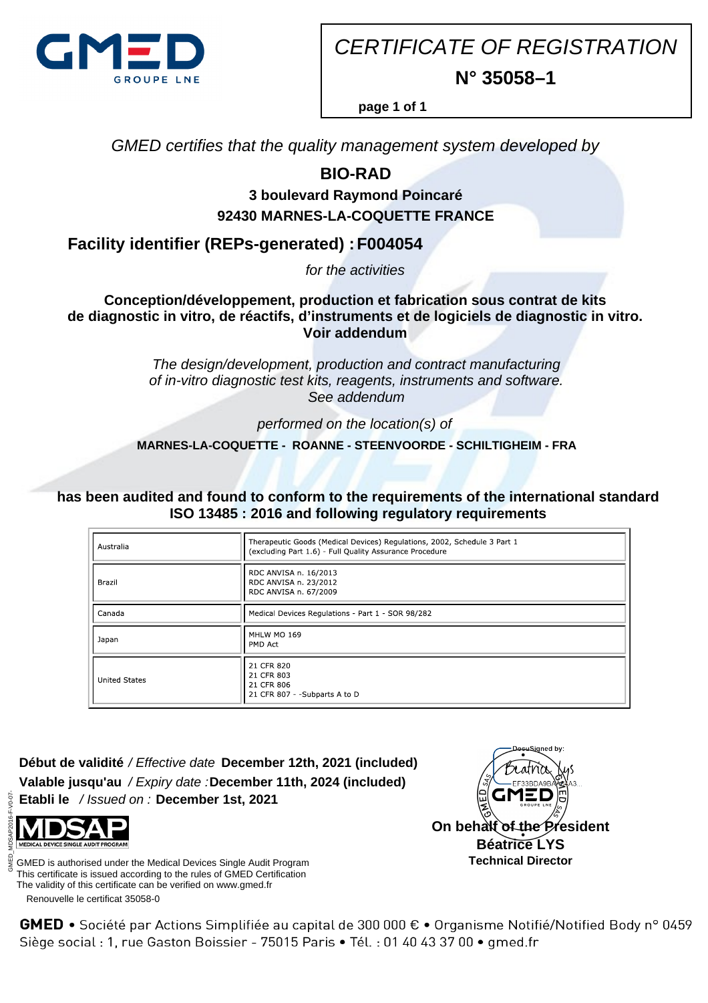

CERTIFICATE OF REGISTRATION **N° 35058–1**

**page 1 of 1**

GMED certifies that the quality management system developed by

## **BIO-RAD**

## **3 boulevard Raymond Poincaré 92430 MARNES-LA-COQUETTE FRANCE**

**Facility identifier (REPs-generated) : F004054**

for the activities

**Conception/développement, production et fabrication sous contrat de kits de diagnostic in vitro, de réactifs, d'instruments et de logiciels de diagnostic in vitro. Voir addendum**

> The design/development, production and contract manufacturing of in-vitro diagnostic test kits, reagents, instruments and software. See addendum

> > performed on the location(s) of

 **MARNES-LA-COQUETTE - ROANNE - STEENVOORDE - SCHILTIGHEIM - FRA**

**has been audited and found to conform to the requirements of the international standard ISO 13485 : 2016 and following regulatory requirements**

| Australia            | Therapeutic Goods (Medical Devices) Regulations, 2002, Schedule 3 Part 1<br>(excluding Part 1.6) - Full Quality Assurance Procedure |
|----------------------|-------------------------------------------------------------------------------------------------------------------------------------|
| Brazil               | RDC ANVISA n. 16/2013<br>RDC ANVISA n. 23/2012<br>RDC ANVISA n. 67/2009                                                             |
| Canada               | Medical Devices Regulations - Part 1 - SOR 98/282                                                                                   |
| Japan                | MHLW MO 169<br>PMD Act                                                                                                              |
| <b>United States</b> | 21 CFR 820<br>21 CFR 803<br>21 CFR 806<br>21 CFR 807 - - Subparts A to D                                                            |

**Début de validité** / Effective date **December 12th, 2021 (included) Valable jusqu'au** / Expiry date : **December 11th, 2024 (included) Etabli le** / Issued on : **December 1st, 2021**



 Renouvelle le certificat 35058-0 GMED is authorised under the Medical Devices Single Audit Program This certificate is issued according to the rules of GMED Certification The validity of this certificate can be verified on www.gmed.fr



GMED • Société par Actions Simplifiée au capital de 300 000 € • Organisme Notifié/Notified Body n° 0459 Siège social : 1, rue Gaston Boissier - 75015 Paris · Tél. : 01 40 43 37 00 · gmed.fr